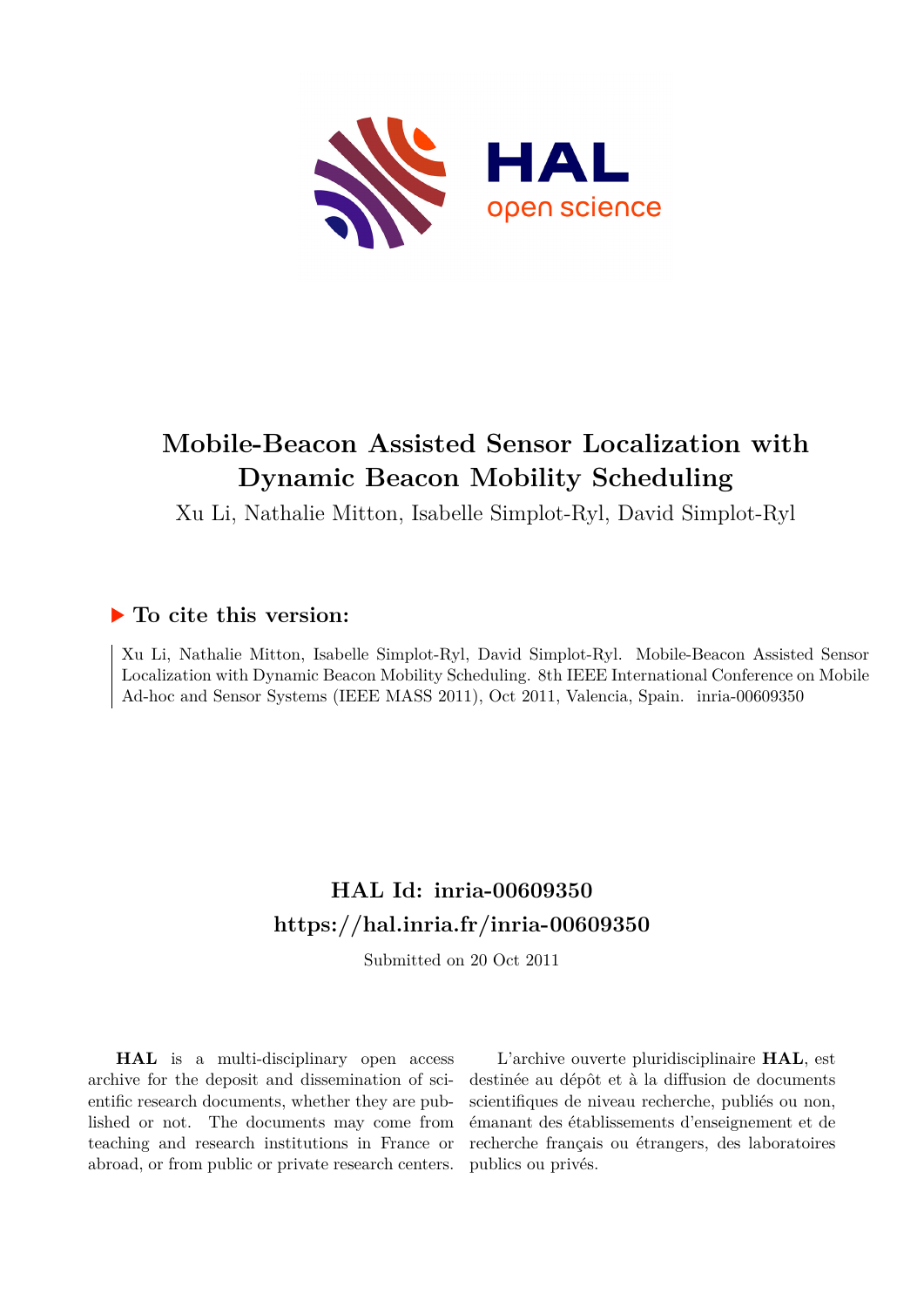

## **Mobile-Beacon Assisted Sensor Localization with Dynamic Beacon Mobility Scheduling**

Xu Li, Nathalie Mitton, Isabelle Simplot-Ryl, David Simplot-Ryl

### **To cite this version:**

Xu Li, Nathalie Mitton, Isabelle Simplot-Ryl, David Simplot-Ryl. Mobile-Beacon Assisted Sensor Localization with Dynamic Beacon Mobility Scheduling. 8th IEEE International Conference on Mobile Ad-hoc and Sensor Systems (IEEE MASS 2011), Oct 2011, Valencia, Spain. inria-00609350

## **HAL Id: inria-00609350 <https://hal.inria.fr/inria-00609350>**

Submitted on 20 Oct 2011

**HAL** is a multi-disciplinary open access archive for the deposit and dissemination of scientific research documents, whether they are published or not. The documents may come from teaching and research institutions in France or abroad, or from public or private research centers.

L'archive ouverte pluridisciplinaire **HAL**, est destinée au dépôt et à la diffusion de documents scientifiques de niveau recherche, publiés ou non, émanant des établissements d'enseignement et de recherche français ou étrangers, des laboratoires publics ou privés.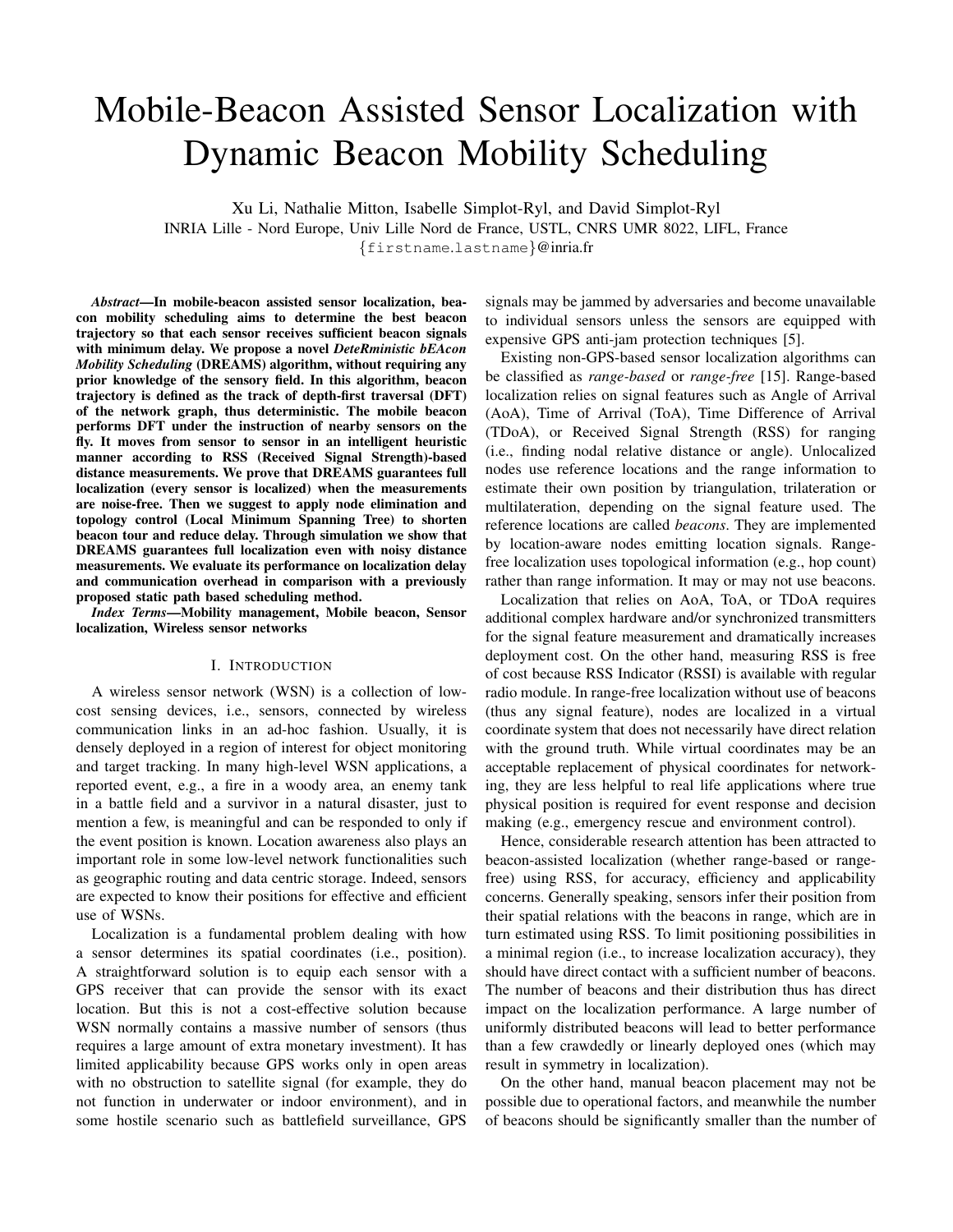# Mobile-Beacon Assisted Sensor Localization with Dynamic Beacon Mobility Scheduling

Xu Li, Nathalie Mitton, Isabelle Simplot-Ryl, and David Simplot-Ryl INRIA Lille - Nord Europe, Univ Lille Nord de France, USTL, CNRS UMR 8022, LIFL, France {firstname.lastname}@inria.fr

*Abstract*—In mobile-beacon assisted sensor localization, beacon mobility scheduling aims to determine the best beacon trajectory so that each sensor receives sufficient beacon signals with minimum delay. We propose a novel *DeteRministic bEAcon Mobility Scheduling* (DREAMS) algorithm, without requiring any prior knowledge of the sensory field. In this algorithm, beacon trajectory is defined as the track of depth-first traversal (DFT) of the network graph, thus deterministic. The mobile beacon performs DFT under the instruction of nearby sensors on the fly. It moves from sensor to sensor in an intelligent heuristic manner according to RSS (Received Signal Strength)-based distance measurements. We prove that DREAMS guarantees full localization (every sensor is localized) when the measurements are noise-free. Then we suggest to apply node elimination and topology control (Local Minimum Spanning Tree) to shorten beacon tour and reduce delay. Through simulation we show that DREAMS guarantees full localization even with noisy distance measurements. We evaluate its performance on localization delay and communication overhead in comparison with a previously proposed static path based scheduling method.

*Index Terms*—Mobility management, Mobile beacon, Sensor localization, Wireless sensor networks

#### I. INTRODUCTION

A wireless sensor network (WSN) is a collection of lowcost sensing devices, i.e., sensors, connected by wireless communication links in an ad-hoc fashion. Usually, it is densely deployed in a region of interest for object monitoring and target tracking. In many high-level WSN applications, a reported event, e.g., a fire in a woody area, an enemy tank in a battle field and a survivor in a natural disaster, just to mention a few, is meaningful and can be responded to only if the event position is known. Location awareness also plays an important role in some low-level network functionalities such as geographic routing and data centric storage. Indeed, sensors are expected to know their positions for effective and efficient use of WSNs.

Localization is a fundamental problem dealing with how a sensor determines its spatial coordinates (i.e., position). A straightforward solution is to equip each sensor with a GPS receiver that can provide the sensor with its exact location. But this is not a cost-effective solution because WSN normally contains a massive number of sensors (thus requires a large amount of extra monetary investment). It has limited applicability because GPS works only in open areas with no obstruction to satellite signal (for example, they do not function in underwater or indoor environment), and in some hostile scenario such as battlefield surveillance, GPS

signals may be jammed by adversaries and become unavailable to individual sensors unless the sensors are equipped with expensive GPS anti-jam protection techniques [5].

Existing non-GPS-based sensor localization algorithms can be classified as *range-based* or *range-free* [15]. Range-based localization relies on signal features such as Angle of Arrival (AoA), Time of Arrival (ToA), Time Difference of Arrival (TDoA), or Received Signal Strength (RSS) for ranging (i.e., finding nodal relative distance or angle). Unlocalized nodes use reference locations and the range information to estimate their own position by triangulation, trilateration or multilateration, depending on the signal feature used. The reference locations are called *beacons*. They are implemented by location-aware nodes emitting location signals. Rangefree localization uses topological information (e.g., hop count) rather than range information. It may or may not use beacons.

Localization that relies on AoA, ToA, or TDoA requires additional complex hardware and/or synchronized transmitters for the signal feature measurement and dramatically increases deployment cost. On the other hand, measuring RSS is free of cost because RSS Indicator (RSSI) is available with regular radio module. In range-free localization without use of beacons (thus any signal feature), nodes are localized in a virtual coordinate system that does not necessarily have direct relation with the ground truth. While virtual coordinates may be an acceptable replacement of physical coordinates for networking, they are less helpful to real life applications where true physical position is required for event response and decision making (e.g., emergency rescue and environment control).

Hence, considerable research attention has been attracted to beacon-assisted localization (whether range-based or rangefree) using RSS, for accuracy, efficiency and applicability concerns. Generally speaking, sensors infer their position from their spatial relations with the beacons in range, which are in turn estimated using RSS. To limit positioning possibilities in a minimal region (i.e., to increase localization accuracy), they should have direct contact with a sufficient number of beacons. The number of beacons and their distribution thus has direct impact on the localization performance. A large number of uniformly distributed beacons will lead to better performance than a few crawdedly or linearly deployed ones (which may result in symmetry in localization).

On the other hand, manual beacon placement may not be possible due to operational factors, and meanwhile the number of beacons should be significantly smaller than the number of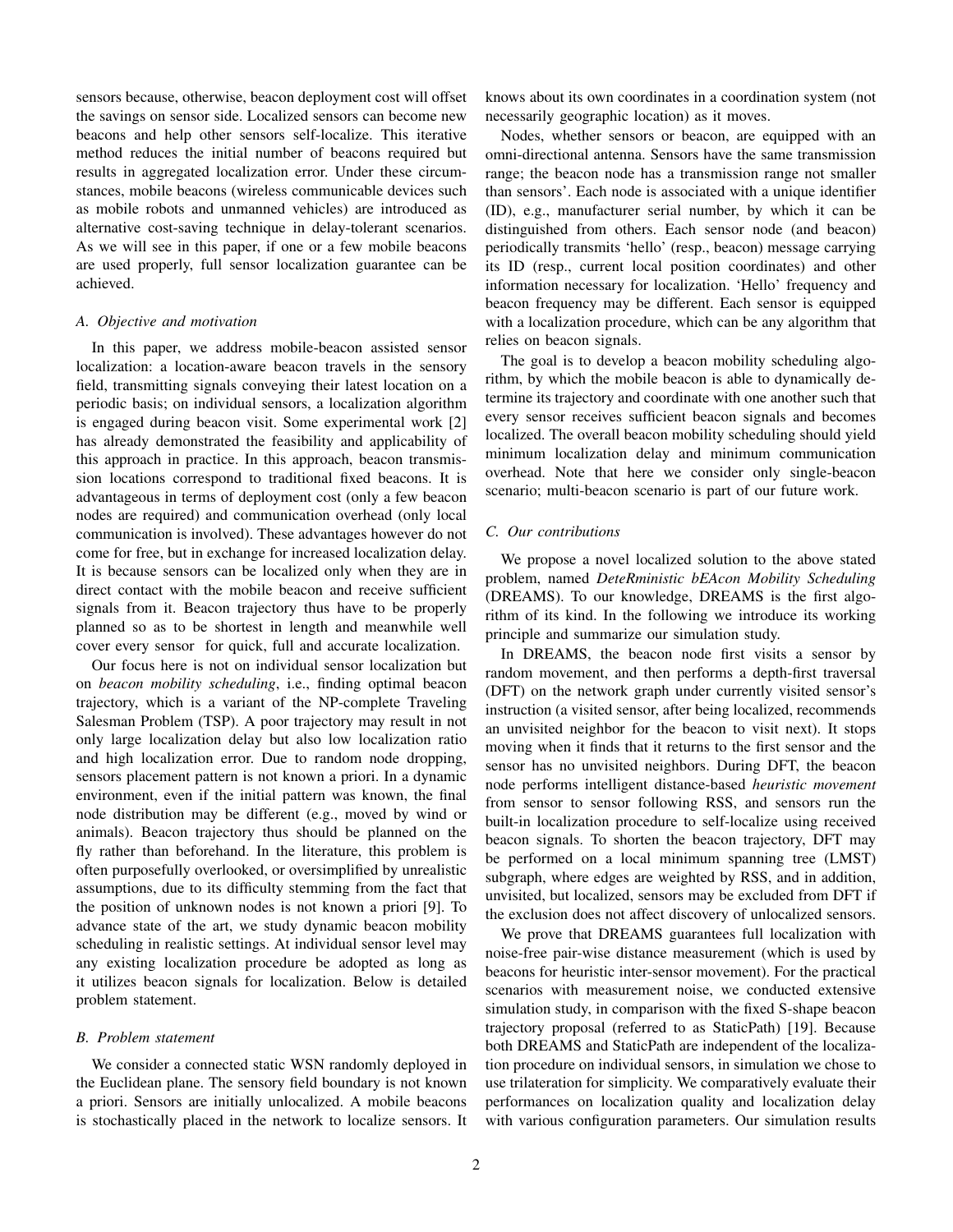sensors because, otherwise, beacon deployment cost will offset the savings on sensor side. Localized sensors can become new beacons and help other sensors self-localize. This iterative method reduces the initial number of beacons required but results in aggregated localization error. Under these circumstances, mobile beacons (wireless communicable devices such as mobile robots and unmanned vehicles) are introduced as alternative cost-saving technique in delay-tolerant scenarios. As we will see in this paper, if one or a few mobile beacons are used properly, full sensor localization guarantee can be achieved.

#### *A. Objective and motivation*

In this paper, we address mobile-beacon assisted sensor localization: a location-aware beacon travels in the sensory field, transmitting signals conveying their latest location on a periodic basis; on individual sensors, a localization algorithm is engaged during beacon visit. Some experimental work [2] has already demonstrated the feasibility and applicability of this approach in practice. In this approach, beacon transmission locations correspond to traditional fixed beacons. It is advantageous in terms of deployment cost (only a few beacon nodes are required) and communication overhead (only local communication is involved). These advantages however do not come for free, but in exchange for increased localization delay. It is because sensors can be localized only when they are in direct contact with the mobile beacon and receive sufficient signals from it. Beacon trajectory thus have to be properly planned so as to be shortest in length and meanwhile well cover every sensor for quick, full and accurate localization.

Our focus here is not on individual sensor localization but on *beacon mobility scheduling*, i.e., finding optimal beacon trajectory, which is a variant of the NP-complete Traveling Salesman Problem (TSP). A poor trajectory may result in not only large localization delay but also low localization ratio and high localization error. Due to random node dropping, sensors placement pattern is not known a priori. In a dynamic environment, even if the initial pattern was known, the final node distribution may be different (e.g., moved by wind or animals). Beacon trajectory thus should be planned on the fly rather than beforehand. In the literature, this problem is often purposefully overlooked, or oversimplified by unrealistic assumptions, due to its difficulty stemming from the fact that the position of unknown nodes is not known a priori [9]. To advance state of the art, we study dynamic beacon mobility scheduling in realistic settings. At individual sensor level may any existing localization procedure be adopted as long as it utilizes beacon signals for localization. Below is detailed problem statement.

#### *B. Problem statement*

We consider a connected static WSN randomly deployed in the Euclidean plane. The sensory field boundary is not known a priori. Sensors are initially unlocalized. A mobile beacons is stochastically placed in the network to localize sensors. It knows about its own coordinates in a coordination system (not necessarily geographic location) as it moves.

Nodes, whether sensors or beacon, are equipped with an omni-directional antenna. Sensors have the same transmission range; the beacon node has a transmission range not smaller than sensors'. Each node is associated with a unique identifier (ID), e.g., manufacturer serial number, by which it can be distinguished from others. Each sensor node (and beacon) periodically transmits 'hello' (resp., beacon) message carrying its ID (resp., current local position coordinates) and other information necessary for localization. 'Hello' frequency and beacon frequency may be different. Each sensor is equipped with a localization procedure, which can be any algorithm that relies on beacon signals.

The goal is to develop a beacon mobility scheduling algorithm, by which the mobile beacon is able to dynamically determine its trajectory and coordinate with one another such that every sensor receives sufficient beacon signals and becomes localized. The overall beacon mobility scheduling should yield minimum localization delay and minimum communication overhead. Note that here we consider only single-beacon scenario; multi-beacon scenario is part of our future work.

#### *C. Our contributions*

We propose a novel localized solution to the above stated problem, named *DeteRministic bEAcon Mobility Scheduling* (DREAMS). To our knowledge, DREAMS is the first algorithm of its kind. In the following we introduce its working principle and summarize our simulation study.

In DREAMS, the beacon node first visits a sensor by random movement, and then performs a depth-first traversal (DFT) on the network graph under currently visited sensor's instruction (a visited sensor, after being localized, recommends an unvisited neighbor for the beacon to visit next). It stops moving when it finds that it returns to the first sensor and the sensor has no unvisited neighbors. During DFT, the beacon node performs intelligent distance-based *heuristic movement* from sensor to sensor following RSS, and sensors run the built-in localization procedure to self-localize using received beacon signals. To shorten the beacon trajectory, DFT may be performed on a local minimum spanning tree (LMST) subgraph, where edges are weighted by RSS, and in addition, unvisited, but localized, sensors may be excluded from DFT if the exclusion does not affect discovery of unlocalized sensors.

We prove that DREAMS guarantees full localization with noise-free pair-wise distance measurement (which is used by beacons for heuristic inter-sensor movement). For the practical scenarios with measurement noise, we conducted extensive simulation study, in comparison with the fixed S-shape beacon trajectory proposal (referred to as StaticPath) [19]. Because both DREAMS and StaticPath are independent of the localization procedure on individual sensors, in simulation we chose to use trilateration for simplicity. We comparatively evaluate their performances on localization quality and localization delay with various configuration parameters. Our simulation results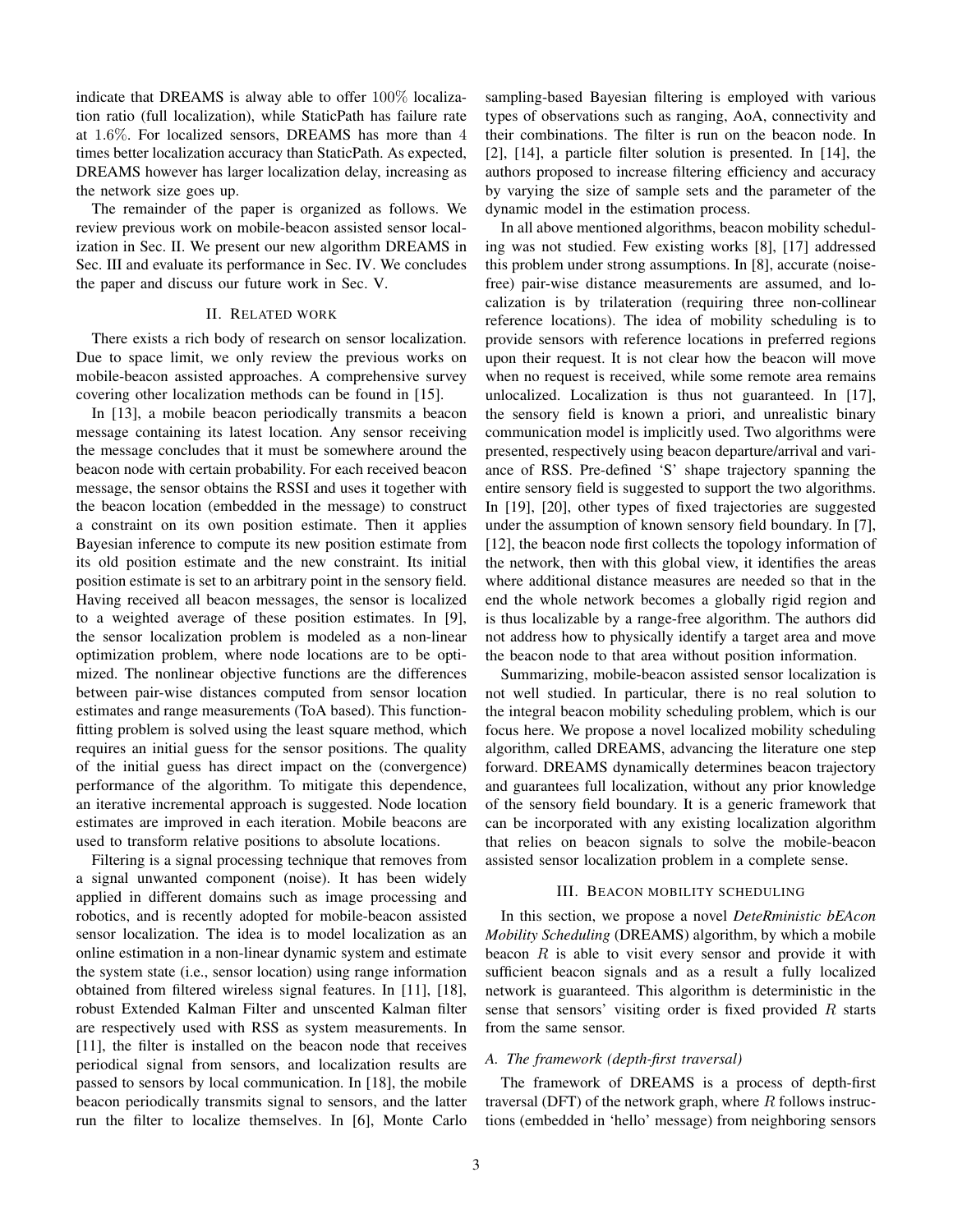indicate that DREAMS is alway able to offer 100% localization ratio (full localization), while StaticPath has failure rate at 1.6%. For localized sensors, DREAMS has more than 4 times better localization accuracy than StaticPath. As expected, DREAMS however has larger localization delay, increasing as the network size goes up.

The remainder of the paper is organized as follows. We review previous work on mobile-beacon assisted sensor localization in Sec. II. We present our new algorithm DREAMS in Sec. III and evaluate its performance in Sec. IV. We concludes the paper and discuss our future work in Sec. V.

#### II. RELATED WORK

There exists a rich body of research on sensor localization. Due to space limit, we only review the previous works on mobile-beacon assisted approaches. A comprehensive survey covering other localization methods can be found in [15].

In [13], a mobile beacon periodically transmits a beacon message containing its latest location. Any sensor receiving the message concludes that it must be somewhere around the beacon node with certain probability. For each received beacon message, the sensor obtains the RSSI and uses it together with the beacon location (embedded in the message) to construct a constraint on its own position estimate. Then it applies Bayesian inference to compute its new position estimate from its old position estimate and the new constraint. Its initial position estimate is set to an arbitrary point in the sensory field. Having received all beacon messages, the sensor is localized to a weighted average of these position estimates. In [9], the sensor localization problem is modeled as a non-linear optimization problem, where node locations are to be optimized. The nonlinear objective functions are the differences between pair-wise distances computed from sensor location estimates and range measurements (ToA based). This functionfitting problem is solved using the least square method, which requires an initial guess for the sensor positions. The quality of the initial guess has direct impact on the (convergence) performance of the algorithm. To mitigate this dependence, an iterative incremental approach is suggested. Node location estimates are improved in each iteration. Mobile beacons are used to transform relative positions to absolute locations.

Filtering is a signal processing technique that removes from a signal unwanted component (noise). It has been widely applied in different domains such as image processing and robotics, and is recently adopted for mobile-beacon assisted sensor localization. The idea is to model localization as an online estimation in a non-linear dynamic system and estimate the system state (i.e., sensor location) using range information obtained from filtered wireless signal features. In [11], [18], robust Extended Kalman Filter and unscented Kalman filter are respectively used with RSS as system measurements. In [11], the filter is installed on the beacon node that receives periodical signal from sensors, and localization results are passed to sensors by local communication. In [18], the mobile beacon periodically transmits signal to sensors, and the latter run the filter to localize themselves. In [6], Monte Carlo sampling-based Bayesian filtering is employed with various types of observations such as ranging, AoA, connectivity and their combinations. The filter is run on the beacon node. In [2], [14], a particle filter solution is presented. In [14], the authors proposed to increase filtering efficiency and accuracy by varying the size of sample sets and the parameter of the dynamic model in the estimation process.

In all above mentioned algorithms, beacon mobility scheduling was not studied. Few existing works [8], [17] addressed this problem under strong assumptions. In [8], accurate (noisefree) pair-wise distance measurements are assumed, and localization is by trilateration (requiring three non-collinear reference locations). The idea of mobility scheduling is to provide sensors with reference locations in preferred regions upon their request. It is not clear how the beacon will move when no request is received, while some remote area remains unlocalized. Localization is thus not guaranteed. In [17], the sensory field is known a priori, and unrealistic binary communication model is implicitly used. Two algorithms were presented, respectively using beacon departure/arrival and variance of RSS. Pre-defined 'S' shape trajectory spanning the entire sensory field is suggested to support the two algorithms. In [19], [20], other types of fixed trajectories are suggested under the assumption of known sensory field boundary. In [7], [12], the beacon node first collects the topology information of the network, then with this global view, it identifies the areas where additional distance measures are needed so that in the end the whole network becomes a globally rigid region and is thus localizable by a range-free algorithm. The authors did not address how to physically identify a target area and move the beacon node to that area without position information.

Summarizing, mobile-beacon assisted sensor localization is not well studied. In particular, there is no real solution to the integral beacon mobility scheduling problem, which is our focus here. We propose a novel localized mobility scheduling algorithm, called DREAMS, advancing the literature one step forward. DREAMS dynamically determines beacon trajectory and guarantees full localization, without any prior knowledge of the sensory field boundary. It is a generic framework that can be incorporated with any existing localization algorithm that relies on beacon signals to solve the mobile-beacon assisted sensor localization problem in a complete sense.

#### III. BEACON MOBILITY SCHEDULING

In this section, we propose a novel *DeteRministic bEAcon Mobility Scheduling* (DREAMS) algorithm, by which a mobile beacon  $R$  is able to visit every sensor and provide it with sufficient beacon signals and as a result a fully localized network is guaranteed. This algorithm is deterministic in the sense that sensors' visiting order is fixed provided  $R$  starts from the same sensor.

#### *A. The framework (depth-first traversal)*

The framework of DREAMS is a process of depth-first traversal (DFT) of the network graph, where  $R$  follows instructions (embedded in 'hello' message) from neighboring sensors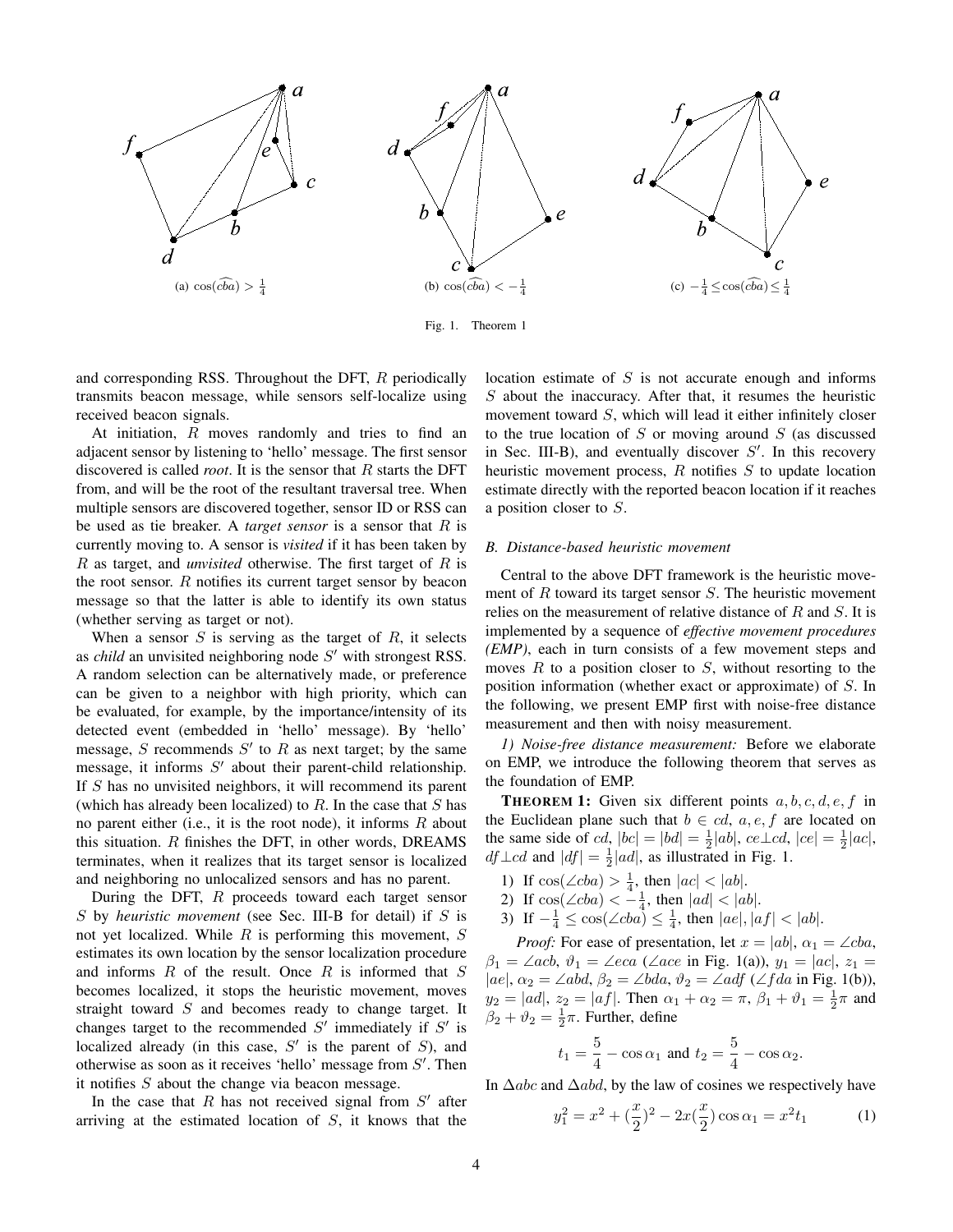

Fig. 1. Theorem 1

and corresponding RSS. Throughout the DFT, R periodically transmits beacon message, while sensors self-localize using received beacon signals.

At initiation,  $R$  moves randomly and tries to find an adjacent sensor by listening to 'hello' message. The first sensor discovered is called *root*. It is the sensor that R starts the DFT from, and will be the root of the resultant traversal tree. When multiple sensors are discovered together, sensor ID or RSS can be used as tie breaker. A *target sensor* is a sensor that R is currently moving to. A sensor is *visited* if it has been taken by R as target, and *unvisited* otherwise. The first target of R is the root sensor.  $R$  notifies its current target sensor by beacon message so that the latter is able to identify its own status (whether serving as target or not).

When a sensor  $S$  is serving as the target of  $R$ , it selects as *child* an unvisited neighboring node S' with strongest RSS. A random selection can be alternatively made, or preference can be given to a neighbor with high priority, which can be evaluated, for example, by the importance/intensity of its detected event (embedded in 'hello' message). By 'hello' message, S recommends  $S'$  to R as next target; by the same message, it informs  $S'$  about their parent-child relationship. If  $S$  has no unvisited neighbors, it will recommend its parent (which has already been localized) to  $R$ . In the case that  $S$  has no parent either (i.e., it is the root node), it informs  $R$  about this situation.  $R$  finishes the DFT, in other words, DREAMS terminates, when it realizes that its target sensor is localized and neighboring no unlocalized sensors and has no parent.

During the DFT, R proceeds toward each target sensor S by *heuristic movement* (see Sec. III-B for detail) if S is not yet localized. While  $R$  is performing this movement,  $S$ estimates its own location by the sensor localization procedure and informs  $R$  of the result. Once  $R$  is informed that  $S$ becomes localized, it stops the heuristic movement, moves straight toward  $S$  and becomes ready to change target. It changes target to the recommended  $S'$  immediately if  $S'$  is localized already (in this case,  $S'$  is the parent of  $S$ ), and otherwise as soon as it receives 'hello' message from  $S'$ . Then it notifies S about the change via beacon message.

In the case that  $R$  has not received signal from  $S'$  after arriving at the estimated location of  $S$ , it knows that the location estimate of  $S$  is not accurate enough and informs S about the inaccuracy. After that, it resumes the heuristic movement toward S, which will lead it either infinitely closer to the true location of  $S$  or moving around  $S$  (as discussed in Sec. III-B), and eventually discover  $S'$ . In this recovery heuristic movement process,  $R$  notifies  $S$  to update location estimate directly with the reported beacon location if it reaches a position closer to S.

#### *B. Distance-based heuristic movement*

Central to the above DFT framework is the heuristic movement of  $R$  toward its target sensor  $S$ . The heuristic movement relies on the measurement of relative distance of  $R$  and  $S$ . It is implemented by a sequence of *effective movement procedures (EMP)*, each in turn consists of a few movement steps and moves  $R$  to a position closer to  $S$ , without resorting to the position information (whether exact or approximate) of S. In the following, we present EMP first with noise-free distance measurement and then with noisy measurement.

*1) Noise-free distance measurement:* Before we elaborate on EMP, we introduce the following theorem that serves as the foundation of EMP.

**THEOREM 1:** Given six different points  $a, b, c, d, e, f$  in the Euclidean plane such that  $b \in cd, a, e, f$  are located on the same side of  $cd$ ,  $|bc| = |bd| = \frac{1}{2}|ab|$ ,  $ce \perp cd$ ,  $|ce| = \frac{1}{2}|ac|$ ,  $df \perp cd$  and  $|df| = \frac{1}{2}|ad|$ , as illustrated in Fig. 1.

- 1) If  $cos(\angle cba) > \frac{1}{4}$ , then  $|ac| < |ab|$ .
- 2) If  $\cos(\angle cba) < -\frac{1}{4}$ , then  $|ad| < |ab|$ .
- 3) If  $-\frac{1}{4} \le \cos(\angle cba) \le \frac{1}{4}$ , then  $|ae|, |af| < |ab|$ .

*Proof:* For ease of presentation, let  $x = |ab|$ ,  $\alpha_1 = \angle cba$ ,  $\beta_1 = \angle acb$ ,  $\vartheta_1 = \angle eca$  ( $\angle ace$  in Fig. 1(a)),  $y_1 = |ac|$ ,  $z_1 =$  $|ae|, \alpha_2 = \angle abd, \beta_2 = \angle bda, \vartheta_2 = \angle adf (\angle fda \text{ in Fig. 1(b)}),$  $y_2 = |ad|, z_2 = |af|.$  Then  $\alpha_1 + \alpha_2 = \pi, \beta_1 + \vartheta_1 = \frac{1}{2}\pi$  and  $\beta_2 + \vartheta_2 = \frac{1}{2}\pi$ . Further, define

$$
t_1 = \frac{5}{4} - \cos \alpha_1
$$
 and  $t_2 = \frac{5}{4} - \cos \alpha_2$ .

In  $\triangle abc$  and  $\triangle abd$ , by the law of cosines we respectively have

$$
y_1^2 = x^2 + \left(\frac{x}{2}\right)^2 - 2x\left(\frac{x}{2}\right)\cos\alpha_1 = x^2t_1\tag{1}
$$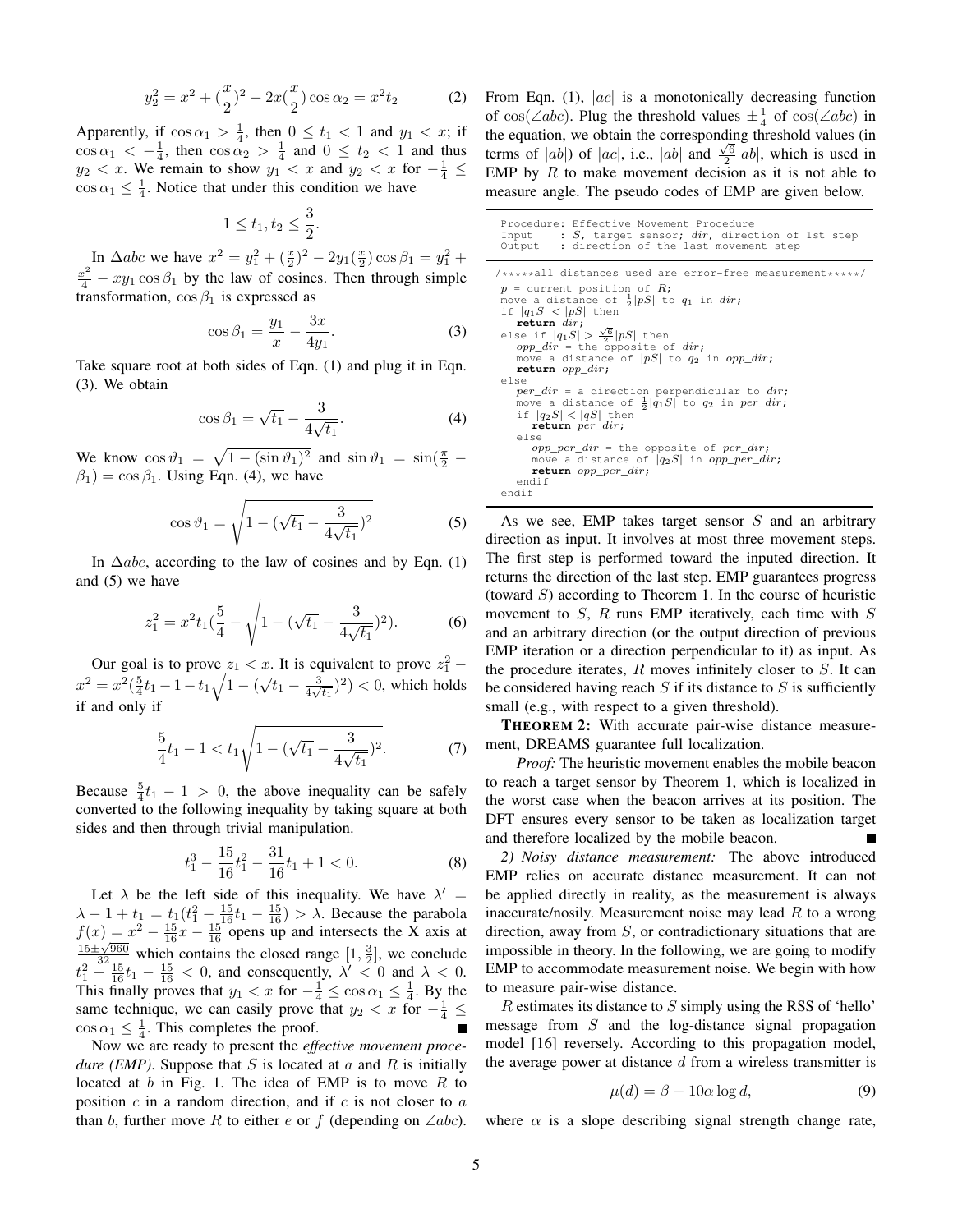$$
y_2^2 = x^2 + \left(\frac{x}{2}\right)^2 - 2x\left(\frac{x}{2}\right)\cos\alpha_2 = x^2t_2\tag{2}
$$

Apparently, if  $\cos \alpha_1 > \frac{1}{4}$ , then  $0 \le t_1 < 1$  and  $y_1 < x$ ; if  $\cos \alpha_1 < -\frac{1}{4}$ , then  $\cos \alpha_2 > \frac{1}{4}$  and  $0 \le t_2 < 1$  and thus  $y_2 < x$ . We remain to show  $y_1 < x$  and  $y_2 < x$  for  $-\frac{1}{4} \le$  $\cos \alpha_1 \leq \frac{1}{4}$ . Notice that under this condition we have

$$
1 \le t_1, t_2 \le \frac{3}{2}.
$$

In  $\triangle abc$  we have  $x^2 = y_1^2 + (\frac{x}{2})^2 - 2y_1(\frac{x}{2}) \cos \beta_1 = y_1^2 +$  $\frac{x^2}{4} - xy_1 \cos \beta_1$  by the law of cosines. Then through simple transformation,  $\cos \beta_1$  is expressed as

$$
\cos \beta_1 = \frac{y_1}{x} - \frac{3x}{4y_1}.
$$
 (3)

Take square root at both sides of Eqn. (1) and plug it in Eqn. (3). We obtain

$$
\cos \beta_1 = \sqrt{t_1} - \frac{3}{4\sqrt{t_1}}.\tag{4}
$$

We know  $\cos \vartheta_1 = \sqrt{1 - (\sin \vartheta_1)^2}$  and  $\sin \vartheta_1 = \sin(\frac{\pi}{2} - \pi)$  $\beta_1$ ) = cos  $\beta_1$ . Using Eqn. (4), we have

$$
\cos \vartheta_1 = \sqrt{1 - (\sqrt{t_1} - \frac{3}{4\sqrt{t_1}})^2}
$$
 (5)

In  $\Delta$ abe, according to the law of cosines and by Eqn. (1) and (5) we have

$$
z_1^2 = x^2 t_1 \left(\frac{5}{4} - \sqrt{1 - (\sqrt{t_1} - \frac{3}{4\sqrt{t_1}})^2}\right).
$$
 (6)

Our goal is to prove  $z_1 < x$ . It is equivalent to prove  $z_1^2$  –  $x^2 = x^2(\frac{5}{4}t_1 - 1 - t_1\sqrt{1 - (\sqrt{t_1} - \frac{3}{4\sqrt{t_1}})^2}) < 0$ , which holds if and only if

$$
\frac{5}{4}t_1 - 1 < t_1 \sqrt{1 - (\sqrt{t_1} - \frac{3}{4\sqrt{t_1}})^2}.\tag{7}
$$

Because  $\frac{5}{4}t_1 - 1 > 0$ , the above inequality can be safely converted to the following inequality by taking square at both sides and then through trivial manipulation.

$$
t_1^3 - \frac{15}{16}t_1^2 - \frac{31}{16}t_1 + 1 < 0. \tag{8}
$$

Let  $\lambda$  be the left side of this inequality. We have  $\lambda' =$  $\lambda - 1 + t_1 = t_1(t_1^2 - \frac{15}{16}t_1 - \frac{15}{16}) > \lambda$ . Because the parabola  $f(x) = x^2 - \frac{15}{16}x - \frac{15}{16}$  opens up and intersects the X axis at  $\frac{15 \pm \sqrt{960}}{324}$  which contains the closed range  $[1, \frac{3}{2}]$ , we conclude  $t_1^2 - \frac{15}{16}t_1 - \frac{15}{16} < 0$ , and consequently,  $\lambda' < 0$  and  $\lambda < 0$ . This finally proves that  $y_1 < x$  for  $-\frac{1}{4} \leq \cos \alpha_1 \leq \frac{1}{4}$ . By the same technique, we can easily prove that  $y_2 < x$  for  $-\frac{1}{4} \le$  $\cos \alpha_1 \leq \frac{1}{4}$ . This completes the proof.

Now we are ready to present the *effective movement procedure (EMP)*. Suppose that  $S$  is located at  $a$  and  $R$  is initially located at b in Fig. 1. The idea of EMP is to move R to position  $c$  in a random direction, and if  $c$  is not closer to  $a$ than b, further move R to either e or f (depending on  $\angle abc$ ).

From Eqn. (1),  $|ac|$  is a monotonically decreasing function of  $cos(\angle abc)$ . Plug the threshold values  $\pm \frac{1}{4}$  of  $cos(\angle abc)$  in the equation, we obtain the corresponding threshold values (in terms of  $|ab|$ ) of  $|ac|$ , i.e.,  $|ab|$  and  $\frac{\sqrt{6}}{2}|ab|$ , which is used in EMP by  $R$  to make movement decision as it is not able to measure angle. The pseudo codes of EMP are given below.

Procedure: Effective\_Movement\_Procedure<br>Input : S, target sensor; dir, direction of 1st step Output : direction of the last movement step /\*\*\*\*\*all distances used are error-free measurement\*\*\*\*\*/  $p =$  current position of  $R$ ; move a distance of  $\frac{1}{2}|pS|$  to  $q_1$  in dir; if  $|q_1S| < |pS|$  then **return** dir; **return**  $air$ ;<br>else if  $|q_1S| > \frac{\sqrt{6}}{2}|pS|$  then<br>opp\_dir = the opposite of dir; move a distance of  $|pS|$  to  $q_2$  in  $opp\_dir$ ; **return** opp\_dir; else per\_dir = a direction perpendicular to dir;<br>move a distance of  $\frac{1}{2}|q_1S|$  to  $q_2$  in per\_dir; if  $|q_2S| < |qS|$  then **return** per\_dir; else  $opp\_per\_dir$  = the opposite of  $per\_dir$ ; move a distance of  $|q_2S|$  in  $opp\_per\_dir$ ; **return** opp\_per\_dir; endif endif

As we see, EMP takes target sensor  $S$  and an arbitrary direction as input. It involves at most three movement steps. The first step is performed toward the inputed direction. It returns the direction of the last step. EMP guarantees progress (toward  $S$ ) according to Theorem 1. In the course of heuristic movement to  $S$ ,  $R$  runs EMP iteratively, each time with  $S$ and an arbitrary direction (or the output direction of previous EMP iteration or a direction perpendicular to it) as input. As the procedure iterates,  $R$  moves infinitely closer to  $S$ . It can be considered having reach  $S$  if its distance to  $S$  is sufficiently small (e.g., with respect to a given threshold).

THEOREM 2: With accurate pair-wise distance measurement, DREAMS guarantee full localization.

*Proof:* The heuristic movement enables the mobile beacon to reach a target sensor by Theorem 1, which is localized in the worst case when the beacon arrives at its position. The DFT ensures every sensor to be taken as localization target and therefore localized by the mobile beacon.

*2) Noisy distance measurement:* The above introduced EMP relies on accurate distance measurement. It can not be applied directly in reality, as the measurement is always inaccurate/nosily. Measurement noise may lead  $R$  to a wrong direction, away from  $S$ , or contradictionary situations that are impossible in theory. In the following, we are going to modify EMP to accommodate measurement noise. We begin with how to measure pair-wise distance.

R estimates its distance to S simply using the RSS of 'hello' message from  $S$  and the log-distance signal propagation model [16] reversely. According to this propagation model, the average power at distance  $d$  from a wireless transmitter is

$$
\mu(d) = \beta - 10\alpha \log d,\tag{9}
$$

where  $\alpha$  is a slope describing signal strength change rate,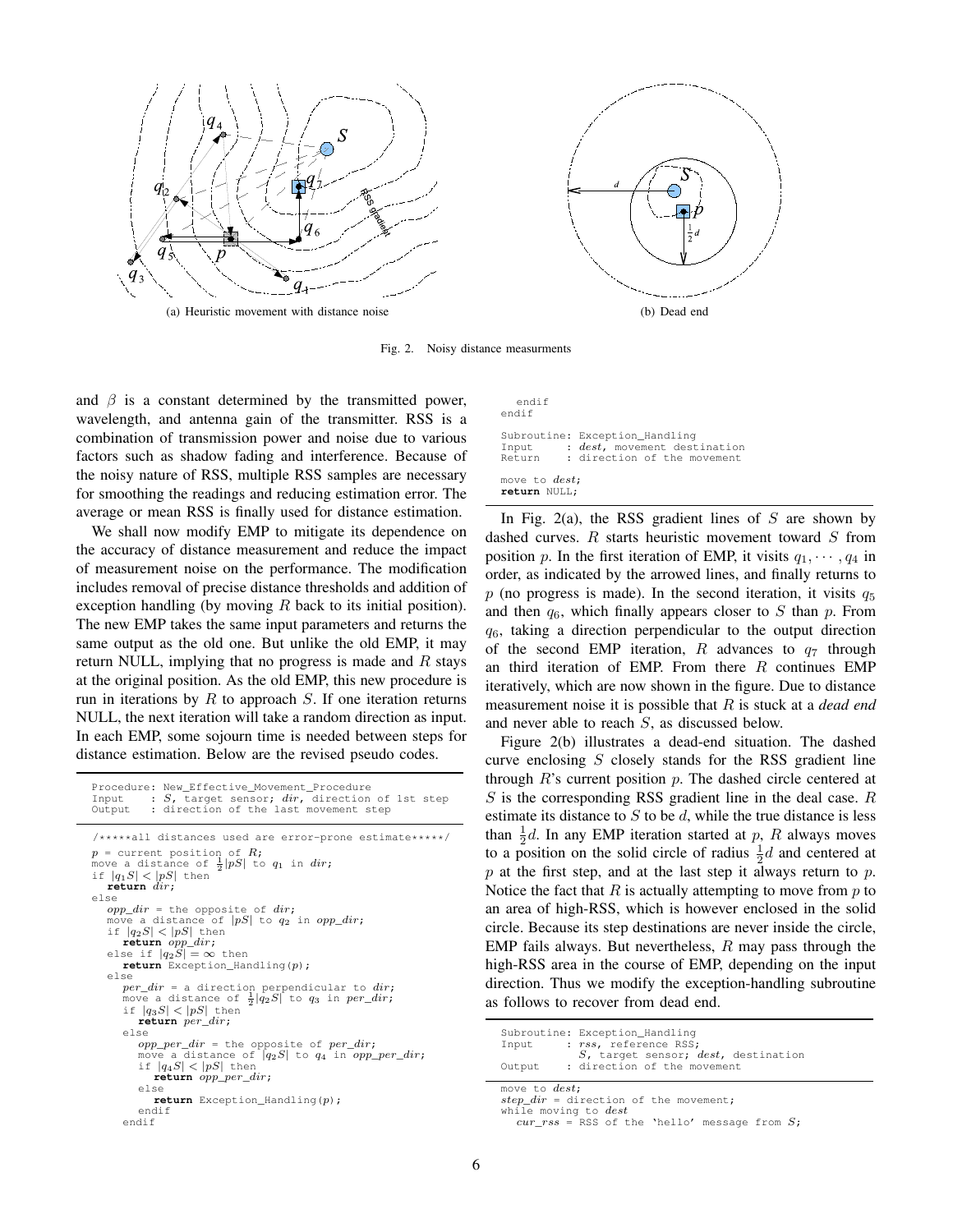

Fig. 2. Noisy distance measurments

and  $\beta$  is a constant determined by the transmitted power, wavelength, and antenna gain of the transmitter. RSS is a combination of transmission power and noise due to various factors such as shadow fading and interference. Because of the noisy nature of RSS, multiple RSS samples are necessary for smoothing the readings and reducing estimation error. The average or mean RSS is finally used for distance estimation.

We shall now modify EMP to mitigate its dependence on the accuracy of distance measurement and reduce the impact of measurement noise on the performance. The modification includes removal of precise distance thresholds and addition of exception handling (by moving  $R$  back to its initial position). The new EMP takes the same input parameters and returns the same output as the old one. But unlike the old EMP, it may return NULL, implying that no progress is made and  $R$  stays at the original position. As the old EMP, this new procedure is run in iterations by  $R$  to approach  $S$ . If one iteration returns NULL, the next iteration will take a random direction as input. In each EMP, some sojourn time is needed between steps for distance estimation. Below are the revised pseudo codes.

```
Procedure: New_Effective_Movement_Procedure
Input : S, target sensor; dir, direction of 1st step<br>Output : direction of the last movement step
/*****all distances used are error-prone estimate*****/
p = current position of R;
move a distance of \frac{1}{2}|pS| to q_1 in dir;
if |q_1S| < |pS| then<br>return dir;
else
  opp\_dir = the opposite of dir;
   move a distance of |pS| to q_2 in opp\_dir;
   if |q_2S| < |pS| then
   return opp\_dir;<br>else if |q_2S| = \infty then
     return Exception_Handling(p);
   else
     per\_dir = a direction perpendicular to dir;move a distance of \frac{1}{2}|\overset{\circ}{q_2}S| to q_3 in per\_dir;
      if |q_3S| < |pS| then
         return per_dir;
      else
         opp\_per\_dir = the opposite of per\_dir;
         move a distance of |q_2S| to q_4 in opp\_per\_dir;if |q_4S| < |pS| then
            return opp_per_dir;
        else
           return Exception_Handling(p);
        endif
     endif
```
endif endif

|                                       | Subroutine: Exception Handling             |
|---------------------------------------|--------------------------------------------|
|                                       | Input : <i>dest</i> , movement destination |
|                                       | Return : direction of the movement         |
| move to <i>dest</i> :<br>return NULL; |                                            |

In Fig. 2(a), the RSS gradient lines of  $S$  are shown by dashed curves.  $R$  starts heuristic movement toward  $S$  from position p. In the first iteration of EMP, it visits  $q_1, \dots, q_4$  in order, as indicated by the arrowed lines, and finally returns to  $p$  (no progress is made). In the second iteration, it visits  $q_5$ and then  $q_6$ , which finally appears closer to S than p. From  $q_6$ , taking a direction perpendicular to the output direction of the second EMP iteration,  $R$  advances to  $q_7$  through an third iteration of EMP. From there  $R$  continues EMP iteratively, which are now shown in the figure. Due to distance measurement noise it is possible that R is stuck at a *dead end* and never able to reach S, as discussed below.

Figure 2(b) illustrates a dead-end situation. The dashed curve enclosing  $S$  closely stands for the RSS gradient line through  $R$ 's current position  $p$ . The dashed circle centered at  $S$  is the corresponding RSS gradient line in the deal case.  $R$ estimate its distance to  $S$  to be  $d$ , while the true distance is less than  $\frac{1}{2}d$ . In any EMP iteration started at p, R always moves to a position on the solid circle of radius  $\frac{1}{2}d$  and centered at  $p$  at the first step, and at the last step it always return to  $p$ . Notice the fact that  $R$  is actually attempting to move from  $p$  to an area of high-RSS, which is however enclosed in the solid circle. Because its step destinations are never inside the circle, EMP fails always. But nevertheless,  $R$  may pass through the high-RSS area in the course of EMP, depending on the input direction. Thus we modify the exception-handling subroutine as follows to recover from dead end.

| Input<br>Output       | Subroutine: Exception Handling<br>: rss, reference RSS;<br>S, target sensor; dest, destination<br>: direction of the movement |
|-----------------------|-------------------------------------------------------------------------------------------------------------------------------|
| move to <i>dest</i> ; | $step\_dir =$ direction of the movement;                                                                                      |

while moving to dest  $cur\_rss =$  RSS of the 'hello' message from  $S$ ;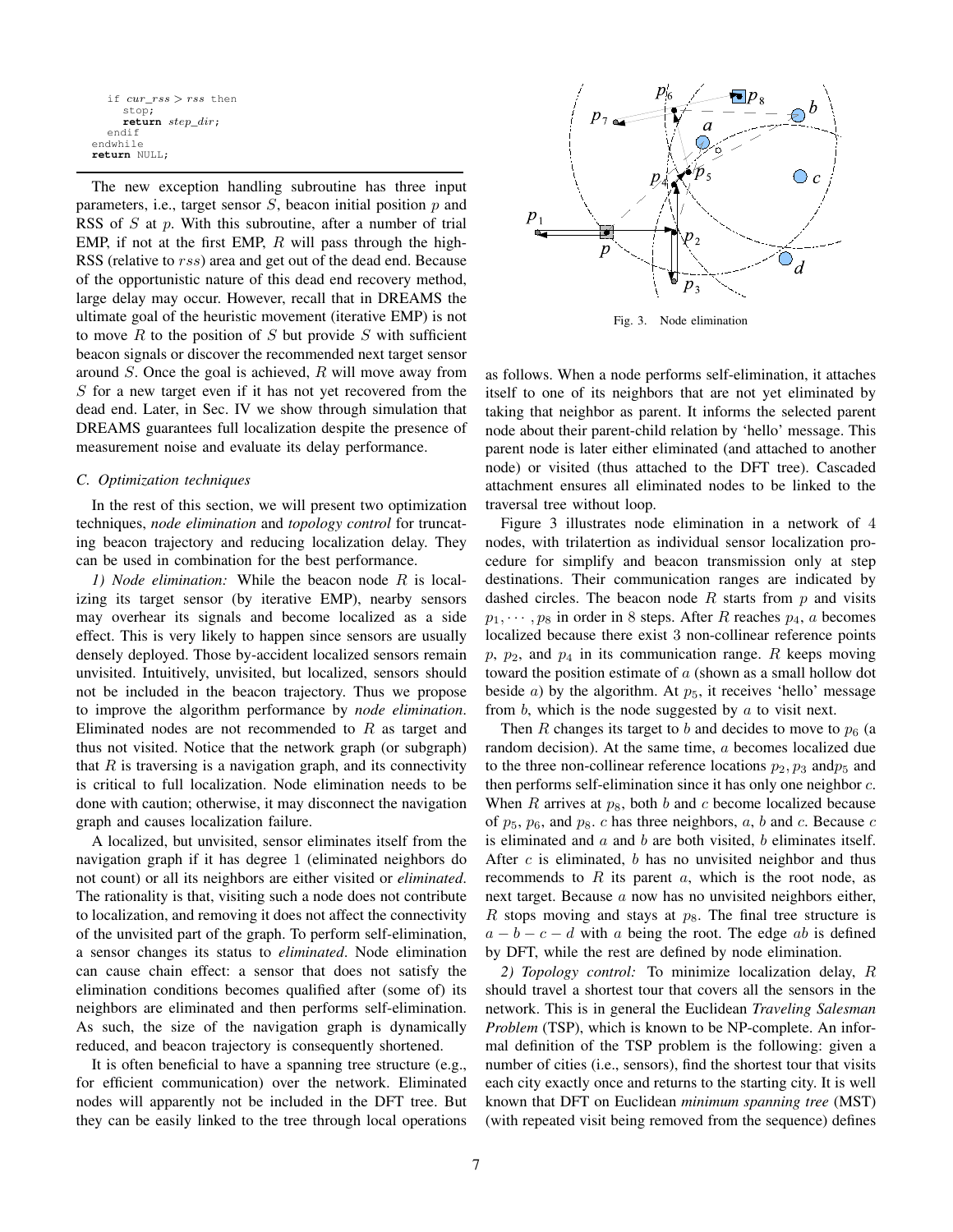```
if cur\;rss>rss then
     stop;
     return step_dir;
  endif
endwhile
return NULL;
```
The new exception handling subroutine has three input parameters, i.e., target sensor  $S$ , beacon initial position  $p$  and RSS of S at p. With this subroutine, after a number of trial EMP, if not at the first EMP,  $R$  will pass through the high-RSS (relative to rss) area and get out of the dead end. Because of the opportunistic nature of this dead end recovery method, large delay may occur. However, recall that in DREAMS the ultimate goal of the heuristic movement (iterative EMP) is not to move  $R$  to the position of  $S$  but provide  $S$  with sufficient beacon signals or discover the recommended next target sensor around S. Once the goal is achieved, R will move away from S for a new target even if it has not yet recovered from the dead end. Later, in Sec. IV we show through simulation that DREAMS guarantees full localization despite the presence of measurement noise and evaluate its delay performance.

#### *C. Optimization techniques*

In the rest of this section, we will present two optimization techniques, *node elimination* and *topology control* for truncating beacon trajectory and reducing localization delay. They can be used in combination for the best performance.

*1) Node elimination:* While the beacon node R is localizing its target sensor (by iterative EMP), nearby sensors may overhear its signals and become localized as a side effect. This is very likely to happen since sensors are usually densely deployed. Those by-accident localized sensors remain unvisited. Intuitively, unvisited, but localized, sensors should not be included in the beacon trajectory. Thus we propose to improve the algorithm performance by *node elimination*. Eliminated nodes are not recommended to  $R$  as target and thus not visited. Notice that the network graph (or subgraph) that  $R$  is traversing is a navigation graph, and its connectivity is critical to full localization. Node elimination needs to be done with caution; otherwise, it may disconnect the navigation graph and causes localization failure.

A localized, but unvisited, sensor eliminates itself from the navigation graph if it has degree 1 (eliminated neighbors do not count) or all its neighbors are either visited or *eliminated*. The rationality is that, visiting such a node does not contribute to localization, and removing it does not affect the connectivity of the unvisited part of the graph. To perform self-elimination, a sensor changes its status to *eliminated*. Node elimination can cause chain effect: a sensor that does not satisfy the elimination conditions becomes qualified after (some of) its neighbors are eliminated and then performs self-elimination. As such, the size of the navigation graph is dynamically reduced, and beacon trajectory is consequently shortened.

It is often beneficial to have a spanning tree structure (e.g., for efficient communication) over the network. Eliminated nodes will apparently not be included in the DFT tree. But they can be easily linked to the tree through local operations



Fig. 3. Node elimination

as follows. When a node performs self-elimination, it attaches itself to one of its neighbors that are not yet eliminated by taking that neighbor as parent. It informs the selected parent node about their parent-child relation by 'hello' message. This parent node is later either eliminated (and attached to another node) or visited (thus attached to the DFT tree). Cascaded attachment ensures all eliminated nodes to be linked to the traversal tree without loop.

Figure 3 illustrates node elimination in a network of 4 nodes, with trilatertion as individual sensor localization procedure for simplify and beacon transmission only at step destinations. Their communication ranges are indicated by dashed circles. The beacon node  $R$  starts from  $p$  and visits  $p_1, \dots, p_8$  in order in 8 steps. After R reaches  $p_4$ , a becomes localized because there exist 3 non-collinear reference points  $p, p_2$ , and  $p_4$  in its communication range. R keeps moving toward the position estimate of  $a$  (shown as a small hollow dot beside *a*) by the algorithm. At  $p_5$ , it receives 'hello' message from  $b$ , which is the node suggested by  $a$  to visit next.

Then R changes its target to b and decides to move to  $p<sub>6</sub>$  (a random decision). At the same time, a becomes localized due to the three non-collinear reference locations  $p_2, p_3$  and  $p_5$  and then performs self-elimination since it has only one neighbor c. When R arrives at  $p_8$ , both b and c become localized because of  $p_5$ ,  $p_6$ , and  $p_8$ . c has three neighbors, a, b and c. Because c is eliminated and  $a$  and  $b$  are both visited,  $b$  eliminates itself. After  $c$  is eliminated,  $b$  has no unvisited neighbor and thus recommends to  $R$  its parent  $a$ , which is the root node, as next target. Because a now has no unvisited neighbors either, R stops moving and stays at  $p_8$ . The final tree structure is  $a - b - c - d$  with a being the root. The edge ab is defined by DFT, while the rest are defined by node elimination.

*2) Topology control:* To minimize localization delay, R should travel a shortest tour that covers all the sensors in the network. This is in general the Euclidean *Traveling Salesman Problem* (TSP), which is known to be NP-complete. An informal definition of the TSP problem is the following: given a number of cities (i.e., sensors), find the shortest tour that visits each city exactly once and returns to the starting city. It is well known that DFT on Euclidean *minimum spanning tree* (MST) (with repeated visit being removed from the sequence) defines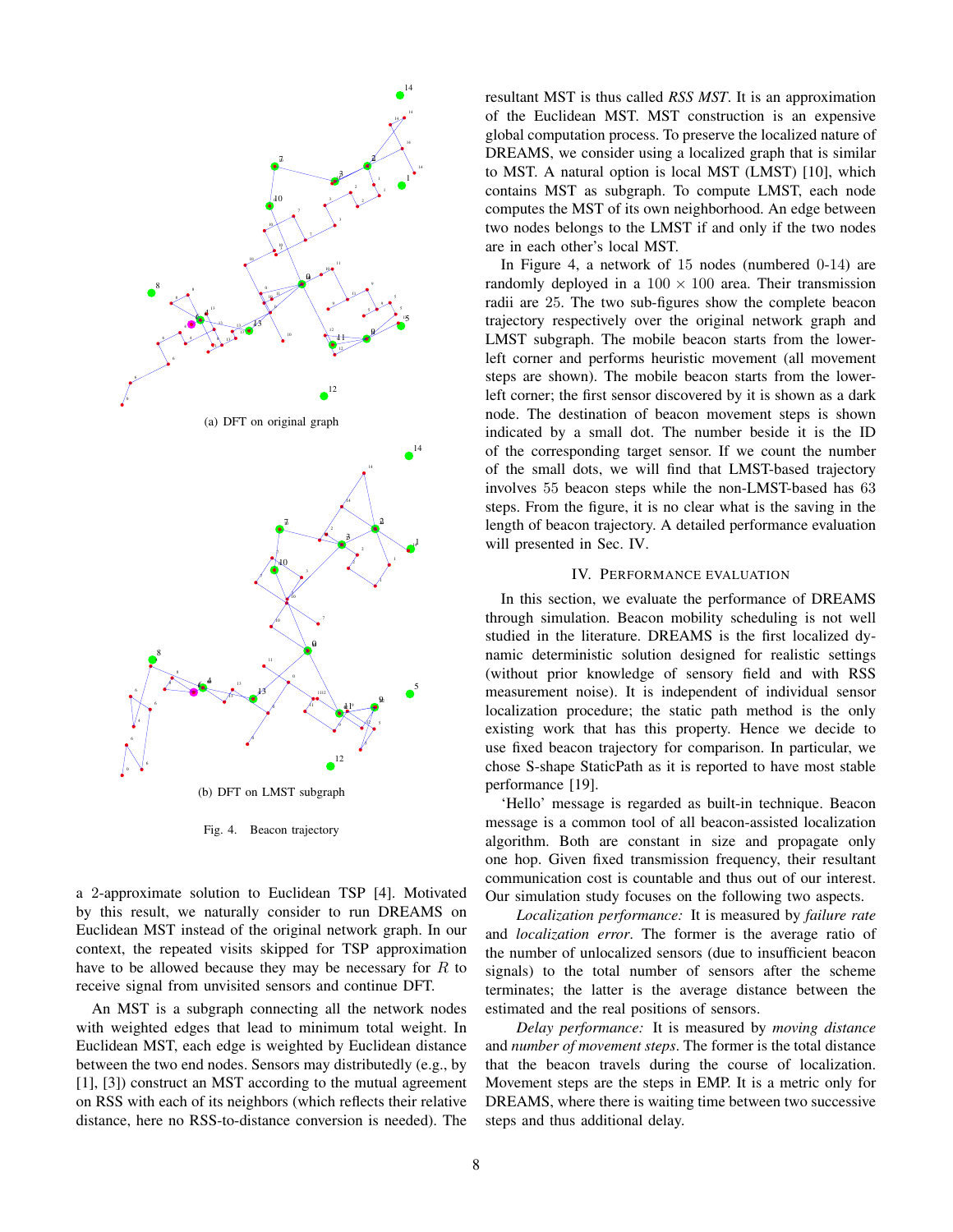

Fig. 4. Beacon trajectory

a 2-approximate solution to Euclidean TSP [4]. Motivated by this result, we naturally consider to run DREAMS on Euclidean MST instead of the original network graph. In our context, the repeated visits skipped for TSP approximation have to be allowed because they may be necessary for  $R$  to receive signal from unvisited sensors and continue DFT.

An MST is a subgraph connecting all the network nodes with weighted edges that lead to minimum total weight. In Euclidean MST, each edge is weighted by Euclidean distance between the two end nodes. Sensors may distributedly (e.g., by [1], [3]) construct an MST according to the mutual agreement on RSS with each of its neighbors (which reflects their relative distance, here no RSS-to-distance conversion is needed). The resultant MST is thus called *RSS MST*. It is an approximation of the Euclidean MST. MST construction is an expensive global computation process. To preserve the localized nature of DREAMS, we consider using a localized graph that is similar to MST. A natural option is local MST (LMST) [10], which contains MST as subgraph. To compute LMST, each node computes the MST of its own neighborhood. An edge between two nodes belongs to the LMST if and only if the two nodes are in each other's local MST.

In Figure 4, a network of 15 nodes (numbered 0-14) are randomly deployed in a  $100 \times 100$  area. Their transmission radii are 25. The two sub-figures show the complete beacon trajectory respectively over the original network graph and LMST subgraph. The mobile beacon starts from the lowerleft corner and performs heuristic movement (all movement steps are shown). The mobile beacon starts from the lowerleft corner; the first sensor discovered by it is shown as a dark node. The destination of beacon movement steps is shown indicated by a small dot. The number beside it is the ID of the corresponding target sensor. If we count the number of the small dots, we will find that LMST-based trajectory involves 55 beacon steps while the non-LMST-based has 63 steps. From the figure, it is no clear what is the saving in the length of beacon trajectory. A detailed performance evaluation will presented in Sec. IV.

#### IV. PERFORMANCE EVALUATION

In this section, we evaluate the performance of DREAMS through simulation. Beacon mobility scheduling is not well studied in the literature. DREAMS is the first localized dynamic deterministic solution designed for realistic settings (without prior knowledge of sensory field and with RSS measurement noise). It is independent of individual sensor localization procedure; the static path method is the only existing work that has this property. Hence we decide to use fixed beacon trajectory for comparison. In particular, we chose S-shape StaticPath as it is reported to have most stable performance [19].

'Hello' message is regarded as built-in technique. Beacon message is a common tool of all beacon-assisted localization algorithm. Both are constant in size and propagate only one hop. Given fixed transmission frequency, their resultant communication cost is countable and thus out of our interest. Our simulation study focuses on the following two aspects.

*Localization performance:* It is measured by *failure rate* and *localization error*. The former is the average ratio of the number of unlocalized sensors (due to insufficient beacon signals) to the total number of sensors after the scheme terminates; the latter is the average distance between the estimated and the real positions of sensors.

*Delay performance:* It is measured by *moving distance* and *number of movement steps*. The former is the total distance that the beacon travels during the course of localization. Movement steps are the steps in EMP. It is a metric only for DREAMS, where there is waiting time between two successive steps and thus additional delay.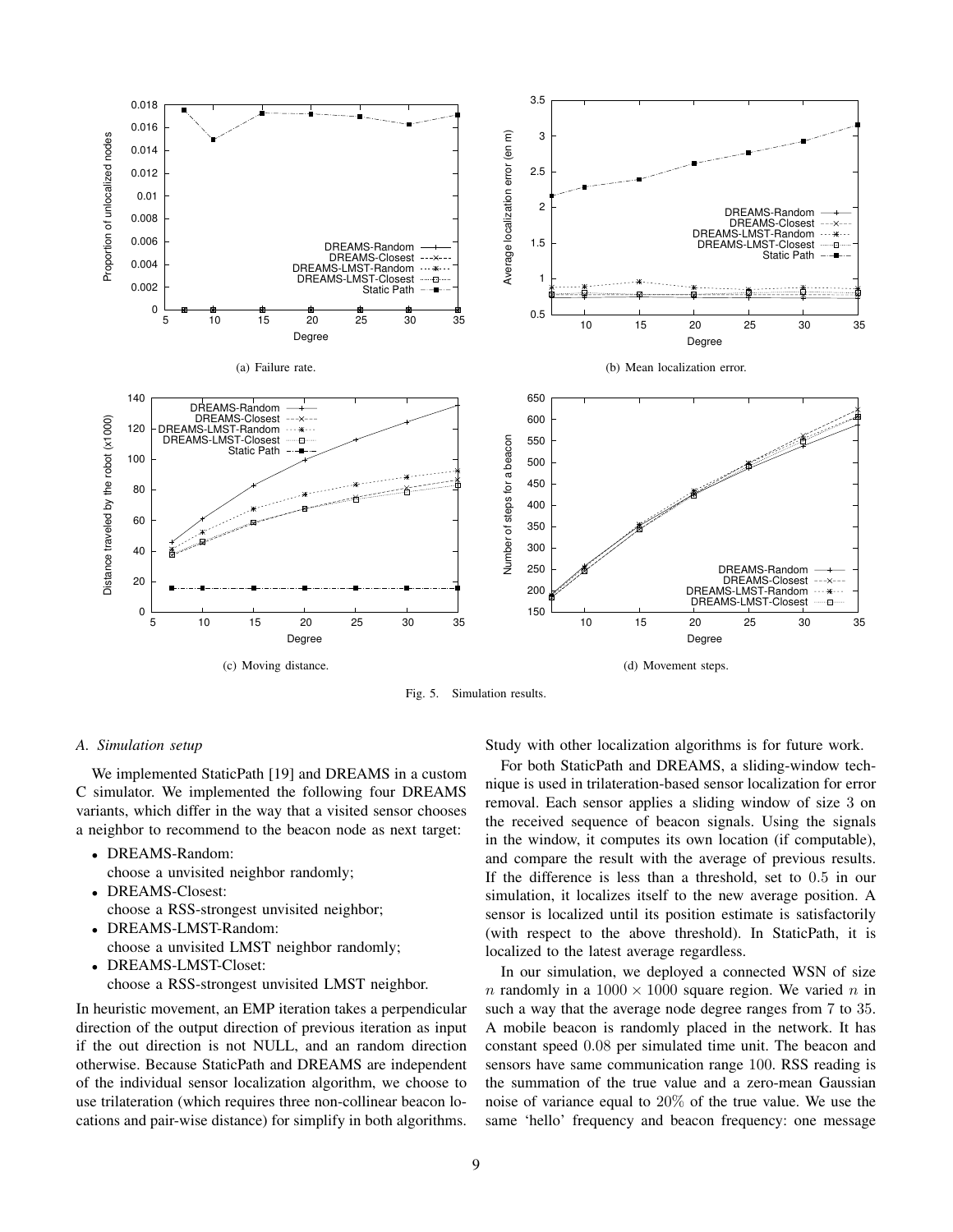

Fig. 5. Simulation results.

#### *A. Simulation setup*

We implemented StaticPath [19] and DREAMS in a custom C simulator. We implemented the following four DREAMS variants, which differ in the way that a visited sensor chooses a neighbor to recommend to the beacon node as next target:

- DREAMS-Random:
- choose a unvisited neighbor randomly;
- DREAMS-Closest: choose a RSS-strongest unvisited neighbor;
- DREAMS-LMST-Random: choose a unvisited LMST neighbor randomly;
- DREAMS-LMST-Closet: choose a RSS-strongest unvisited LMST neighbor.

In heuristic movement, an EMP iteration takes a perpendicular direction of the output direction of previous iteration as input if the out direction is not NULL, and an random direction otherwise. Because StaticPath and DREAMS are independent of the individual sensor localization algorithm, we choose to use trilateration (which requires three non-collinear beacon locations and pair-wise distance) for simplify in both algorithms. Study with other localization algorithms is for future work.

For both StaticPath and DREAMS, a sliding-window technique is used in trilateration-based sensor localization for error removal. Each sensor applies a sliding window of size 3 on the received sequence of beacon signals. Using the signals in the window, it computes its own location (if computable), and compare the result with the average of previous results. If the difference is less than a threshold, set to 0.5 in our simulation, it localizes itself to the new average position. A sensor is localized until its position estimate is satisfactorily (with respect to the above threshold). In StaticPath, it is localized to the latest average regardless.

In our simulation, we deployed a connected WSN of size n randomly in a  $1000 \times 1000$  square region. We varied n in such a way that the average node degree ranges from 7 to 35. A mobile beacon is randomly placed in the network. It has constant speed 0.08 per simulated time unit. The beacon and sensors have same communication range 100. RSS reading is the summation of the true value and a zero-mean Gaussian noise of variance equal to 20% of the true value. We use the same 'hello' frequency and beacon frequency: one message